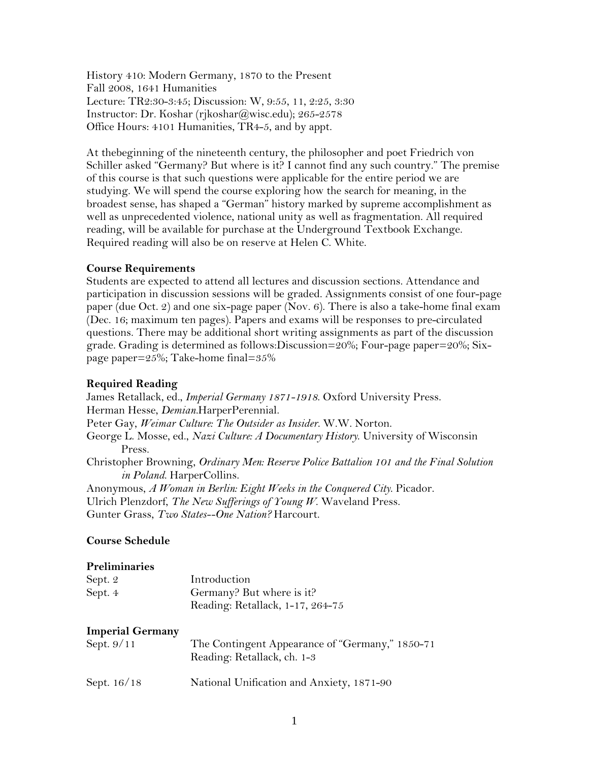History 410: Modern Germany, 1870 to the Present Fall 2008, 1641 Humanities Lecture: TR2:30-3:45; Discussion: W, 9:55, 11, 2:25, 3:30 Instructor: Dr. Koshar (rjkoshar@wisc.edu); 265-2578 Office Hours: 4101 Humanities, TR4-5, and by appt.

At thebeginning of the nineteenth century, the philosopher and poet Friedrich von Schiller asked "Germany? But where is it? I cannot find any such country." The premise of this course is that such questions were applicable for the entire period we are studying. We will spend the course exploring how the search for meaning, in the broadest sense, has shaped a "German" history marked by supreme accomplishment as well as unprecedented violence, national unity as well as fragmentation. All required reading, will be available for purchase at the Underground Textbook Exchange. Required reading will also be on reserve at Helen C. White.

# **Course Requirements**

Students are expected to attend all lectures and discussion sections. Attendance and participation in discussion sessions will be graded. Assignments consist of one four-page paper (due Oct. 2) and one six-page paper (Nov. 6). There is also a take-home final exam (Dec. 16; maximum ten pages). Papers and exams will be responses to pre-circulated questions. There may be additional short writing assignments as part of the discussion grade. Grading is determined as follows:Discussion=20%; Four-page paper=20%; Sixpage paper=25%; Take-home final=35%

## **Required Reading**

James Retallack, ed., *Imperial Germany 1871-1918*. Oxford University Press. Herman Hesse, *Demian.*HarperPerennial. Peter Gay, *Weimar Culture: The Outsider as Insider*. W.W. Norton. George L. Mosse, ed., *Nazi Culture: A Documentary History*. University of Wisconsin Press. Christopher Browning, *Ordinary Men: Reserve Police Battalion 101 and the Final Solution in Poland*. HarperCollins. Anonymous, *A Woman in Berlin: Eight Weeks in the Conquered City*. Picador. Ulrich Plenzdorf, *The New Sufferings of Young W*. Waveland Press. Gunter Grass, *Two States--One Nation?* Harcourt.

### **Course Schedule**

#### **Preliminaries**

| Sept. 2 | Introduction                     |
|---------|----------------------------------|
| Sept. 4 | Germany? But where is it?        |
|         | Reading: Retallack, 1-17, 264-75 |

#### **Imperial Germany**

| Sept. $9/11$ | The Contingent Appearance of "Germany," 1850-71<br>Reading: Retallack, ch. 1-3 |
|--------------|--------------------------------------------------------------------------------|
| Sept. 16/18  | National Unification and Anxiety, 1871-90                                      |